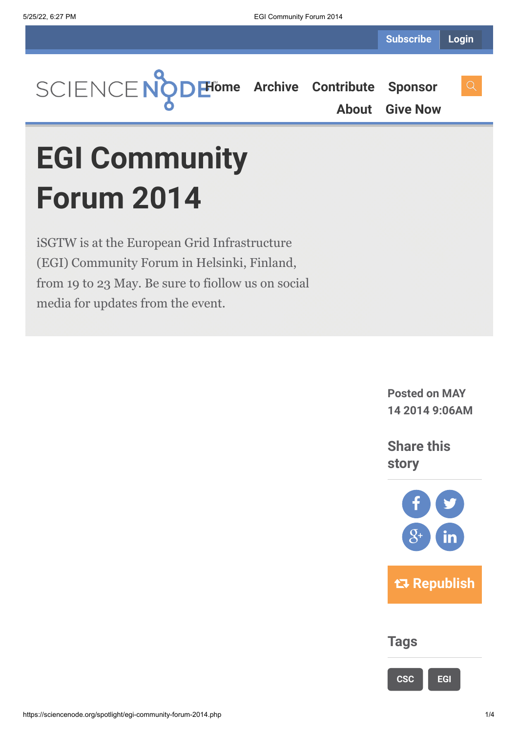

**[About](https://sciencenode.org/about/index.php) [Give Now](https://sciencenode.org/donate/index.php)**

# **EGI Community Forum 2014**

iSGTW is at the European Grid Infrastructure (EGI) Community Forum in Helsinki, Finland, from 19 to 23 May. Be sure to fiollow us on social media for updates from the event.

> **Posted on MAY 14 2014 9:06AM**

**Share this story**



## **Tags**

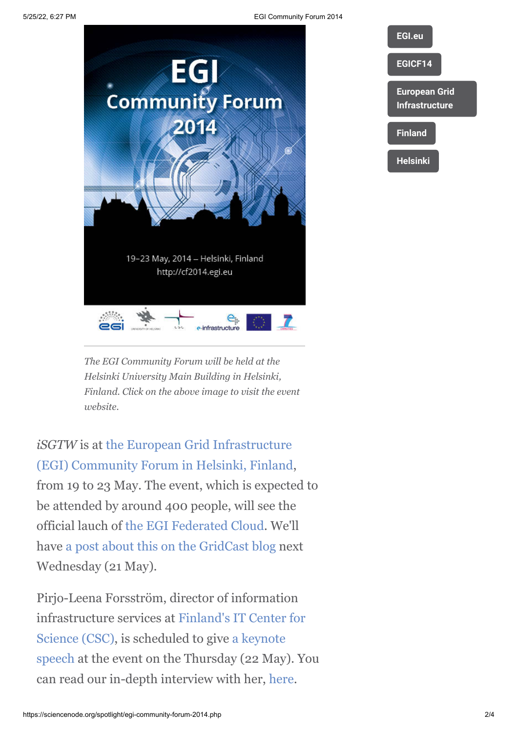5/25/22, 6:27 PM EGI Community Forum 2014





*The EGI Community Forum will be held at the Helsinki University Main Building in Helsinki, Finland. Click on the above image to visit the event website.*

*iSGTW* is at the European Grid Infrastructure [\(EGI\) Community Forum in Helsinki, Finland](http://cf2014.egi.eu/), from 19 to 23 May. The event, which is expected to be attended by around 400 people, will see the official lauch of [the EGI Federated Cloud.](https://www.google.ie/url?sa=t&rct=j&q=&esrc=s&source=web&cd=1&cad=rja&uact=8&ved=0CDAQFjAA&url=http%3A%2F%2Fwww.egi.eu%2Finfrastructure%2Fcloud%2F&ei=2G1jU9K5B8jI0wXKwoFI&usg=AFQjCNGHy5gVuxedMWA0fW2EVmL43dZyvg&bvm=bv.65788261,d.d2k) We'll have [a post about this on the GridCast blog](http://gridtalk-project.blogspot.fr/) next Wednesday (21 May).

Pirjo-Leena Forsström, director of information [infrastructure services at Finland's IT Center for](http://www.csc.fi/english) Science (CSC), is scheduled to give a keynote [speech at the event on the Thursday \(22 May\)](http://cf2014.egi.eu/keynotes/#plf). You can read our in-depth interview with her, [here.](http://www.isgtw.org/feature/facilitating-research-collaboration-through-computing-and-data-infrastructure)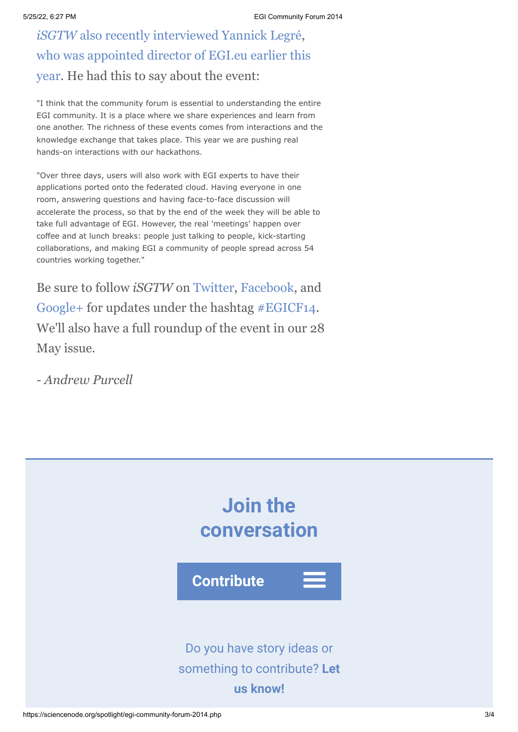*iSGTW* [also recently interviewed Yannick Legré,](http://www.isgtw.org/feature/user-communities-heart-european-grid-infrastructure) [who was appointed director of EGI.eu earlier this](http://www.egi.eu/news-and-media/newsfeed/news_2014_005.html) year. He had this to say about the event:

"I think that the community forum is essential to understanding the entire EGI community. It is a place where we share experiences and learn from one another. The richness of these events comes from interactions and the knowledge exchange that takes place. This year we are pushing real hands-on interactions with our hackathons.

"Over three days, users will also work with EGI experts to have their applications ported onto the federated cloud. Having everyone in one room, answering questions and having face-to-face discussion will accelerate the process, so that by the end of the week they will be able to take full advantage of EGI. However, the real 'meetings' happen over coffee and at lunch breaks: people just talking to people, kick-starting collaborations, and making EGI a community of people spread across 54 countries working together."

Be sure to follow *iSGTW* on [Twitter](https://twitter.com/search?q=isgtw&src=typd), [Facebook,](https://www.facebook.com/pages/International-Science-Grid-This-Week/141926395796) and [Google+](https://plus.google.com/100076081909774278210/posts) for updates under the hashtag [#EGICF14](https://twitter.com/search?q=%23EGICF14&src=hash). We'll also have a full roundup of the event in our 28 May issue.

*- Andrew Purcell*